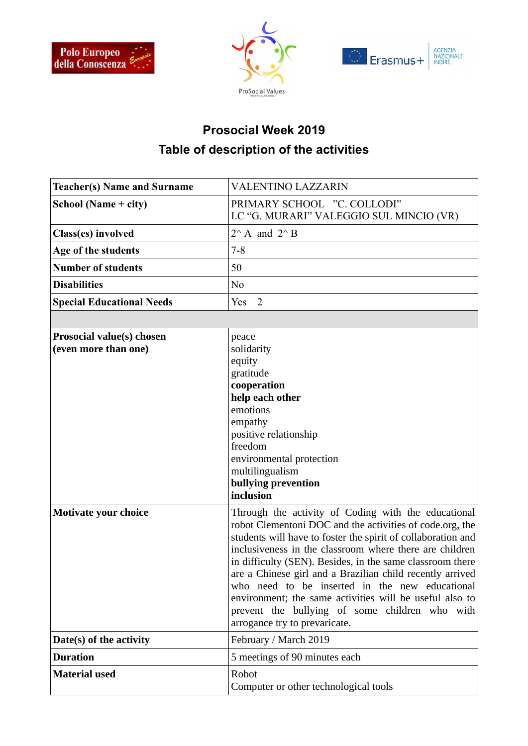





## **Prosocial Week 2019 Table of description of the activities**

| <b>Teacher(s) Name and Surname</b>                | <b>VALENTINO LAZZARIN</b>                                                                                                                                                                                                                                                                                                                                                                                                                                                                                                                                            |  |
|---------------------------------------------------|----------------------------------------------------------------------------------------------------------------------------------------------------------------------------------------------------------------------------------------------------------------------------------------------------------------------------------------------------------------------------------------------------------------------------------------------------------------------------------------------------------------------------------------------------------------------|--|
| School (Name + city)                              | PRIMARY SCHOOL "C. COLLODI"<br>I.C "G. MURARI" VALEGGIO SUL MINCIO (VR)                                                                                                                                                                                                                                                                                                                                                                                                                                                                                              |  |
| Class(es) involved                                | $2^{\wedge}$ A and $2^{\wedge}$ B                                                                                                                                                                                                                                                                                                                                                                                                                                                                                                                                    |  |
| Age of the students                               | $7 - 8$                                                                                                                                                                                                                                                                                                                                                                                                                                                                                                                                                              |  |
| <b>Number of students</b>                         | 50                                                                                                                                                                                                                                                                                                                                                                                                                                                                                                                                                                   |  |
| <b>Disabilities</b>                               | N <sub>0</sub>                                                                                                                                                                                                                                                                                                                                                                                                                                                                                                                                                       |  |
| <b>Special Educational Needs</b>                  | Yes 2                                                                                                                                                                                                                                                                                                                                                                                                                                                                                                                                                                |  |
|                                                   |                                                                                                                                                                                                                                                                                                                                                                                                                                                                                                                                                                      |  |
| Prosocial value(s) chosen<br>(even more than one) | peace<br>solidarity<br>equity<br>gratitude<br>cooperation<br>help each other<br>emotions<br>empathy<br>positive relationship<br>freedom<br>environmental protection<br>multilingualism<br>bullying prevention<br>inclusion                                                                                                                                                                                                                                                                                                                                           |  |
| <b>Motivate your choice</b>                       | Through the activity of Coding with the educational<br>robot Clementoni DOC and the activities of code.org, the<br>students will have to foster the spirit of collaboration and<br>inclusiveness in the classroom where there are children<br>in difficulty (SEN). Besides, in the same classroom there<br>are a Chinese girl and a Brazilian child recently arrived<br>who need to be inserted in the new educational<br>environment; the same activities will be useful also to<br>prevent the bullying of some children who with<br>arrogance try to prevaricate. |  |
| Date(s) of the activity                           | February / March 2019                                                                                                                                                                                                                                                                                                                                                                                                                                                                                                                                                |  |
| <b>Duration</b>                                   | 5 meetings of 90 minutes each                                                                                                                                                                                                                                                                                                                                                                                                                                                                                                                                        |  |
| <b>Material used</b>                              | Robot<br>Computer or other technological tools                                                                                                                                                                                                                                                                                                                                                                                                                                                                                                                       |  |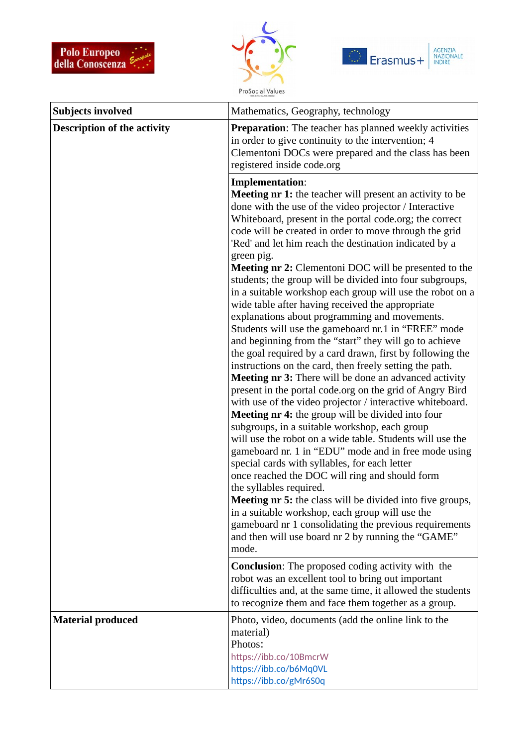





| <b>Subjects involved</b>           | Mathematics, Geography, technology                                                                                                                                                                                                                                                                                                                                                                                                                                                                                                                                                                                                                                                                                                                                                                                                                                                                                                                                                                                                                                                                                                                                                                                                                                                                                                                                                                                                                                                                                                                                                                                                                                                        |
|------------------------------------|-------------------------------------------------------------------------------------------------------------------------------------------------------------------------------------------------------------------------------------------------------------------------------------------------------------------------------------------------------------------------------------------------------------------------------------------------------------------------------------------------------------------------------------------------------------------------------------------------------------------------------------------------------------------------------------------------------------------------------------------------------------------------------------------------------------------------------------------------------------------------------------------------------------------------------------------------------------------------------------------------------------------------------------------------------------------------------------------------------------------------------------------------------------------------------------------------------------------------------------------------------------------------------------------------------------------------------------------------------------------------------------------------------------------------------------------------------------------------------------------------------------------------------------------------------------------------------------------------------------------------------------------------------------------------------------------|
| <b>Description of the activity</b> | <b>Preparation:</b> The teacher has planned weekly activities<br>in order to give continuity to the intervention; 4<br>Clementoni DOCs were prepared and the class has been<br>registered inside code.org                                                                                                                                                                                                                                                                                                                                                                                                                                                                                                                                                                                                                                                                                                                                                                                                                                                                                                                                                                                                                                                                                                                                                                                                                                                                                                                                                                                                                                                                                 |
|                                    | <b>Implementation:</b><br><b>Meeting nr 1:</b> the teacher will present an activity to be<br>done with the use of the video projector / Interactive<br>Whiteboard, present in the portal code.org; the correct<br>code will be created in order to move through the grid<br>'Red' and let him reach the destination indicated by a<br>green pig.<br>Meeting nr 2: Clementoni DOC will be presented to the<br>students; the group will be divided into four subgroups,<br>in a suitable workshop each group will use the robot on a<br>wide table after having received the appropriate<br>explanations about programming and movements.<br>Students will use the gameboard nr.1 in "FREE" mode<br>and beginning from the "start" they will go to achieve<br>the goal required by a card drawn, first by following the<br>instructions on the card, then freely setting the path.<br><b>Meeting nr 3:</b> There will be done an advanced activity<br>present in the portal code.org on the grid of Angry Bird<br>with use of the video projector / interactive whiteboard.<br><b>Meeting nr 4:</b> the group will be divided into four<br>subgroups, in a suitable workshop, each group<br>will use the robot on a wide table. Students will use the<br>gameboard nr. 1 in "EDU" mode and in free mode using<br>special cards with syllables, for each letter<br>once reached the DOC will ring and should form<br>the syllables required.<br><b>Meeting nr 5:</b> the class will be divided into five groups,<br>in a suitable workshop, each group will use the<br>gameboard nr 1 consolidating the previous requirements<br>and then will use board nr 2 by running the "GAME"<br>mode. |
|                                    | <b>Conclusion:</b> The proposed coding activity with the<br>robot was an excellent tool to bring out important<br>difficulties and, at the same time, it allowed the students<br>to recognize them and face them together as a group.                                                                                                                                                                                                                                                                                                                                                                                                                                                                                                                                                                                                                                                                                                                                                                                                                                                                                                                                                                                                                                                                                                                                                                                                                                                                                                                                                                                                                                                     |
| <b>Material produced</b>           | Photo, video, documents (add the online link to the<br>material)<br>Photos:<br>https://ibb.co/10BmcrW<br>https://ibb.co/b6Mq0VL<br>https://ibb.co/gMr6S0q                                                                                                                                                                                                                                                                                                                                                                                                                                                                                                                                                                                                                                                                                                                                                                                                                                                                                                                                                                                                                                                                                                                                                                                                                                                                                                                                                                                                                                                                                                                                 |